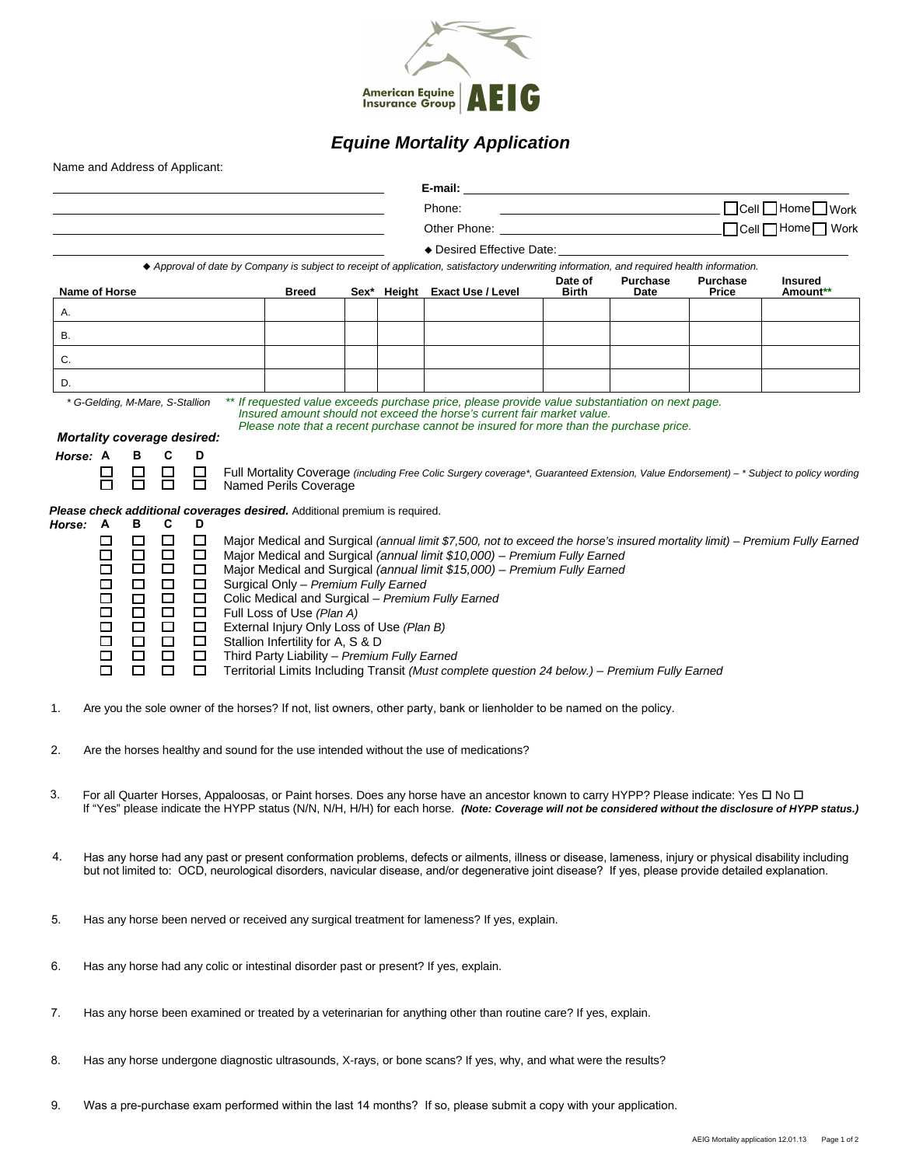

## *Equine Mortality Application*

|    |                                                                                                                                                                                                                                                                                                                                                                             |                                                                                                                |                                                                                                                                                                                                     |  |  | E-mail:                                                                                                                                                                                                                                                                                                                                                                                                                                      |                         |                                                                            |                          |                                     |  |
|----|-----------------------------------------------------------------------------------------------------------------------------------------------------------------------------------------------------------------------------------------------------------------------------------------------------------------------------------------------------------------------------|----------------------------------------------------------------------------------------------------------------|-----------------------------------------------------------------------------------------------------------------------------------------------------------------------------------------------------|--|--|----------------------------------------------------------------------------------------------------------------------------------------------------------------------------------------------------------------------------------------------------------------------------------------------------------------------------------------------------------------------------------------------------------------------------------------------|-------------------------|----------------------------------------------------------------------------|--------------------------|-------------------------------------|--|
|    |                                                                                                                                                                                                                                                                                                                                                                             |                                                                                                                |                                                                                                                                                                                                     |  |  | Phone:                                                                                                                                                                                                                                                                                                                                                                                                                                       |                         | the control of the control of the control of the control of the control of |                          | □ Cell □ Home □ Work                |  |
|    |                                                                                                                                                                                                                                                                                                                                                                             |                                                                                                                |                                                                                                                                                                                                     |  |  | Other Phone:                                                                                                                                                                                                                                                                                                                                                                                                                                 |                         |                                                                            |                          | $\Box$ Cell $\Box$ Home $\Box$ Work |  |
|    |                                                                                                                                                                                                                                                                                                                                                                             |                                                                                                                |                                                                                                                                                                                                     |  |  | ◆ Desired Effective Date: <u>New York:</u>                                                                                                                                                                                                                                                                                                                                                                                                   |                         |                                                                            |                          |                                     |  |
|    |                                                                                                                                                                                                                                                                                                                                                                             |                                                                                                                |                                                                                                                                                                                                     |  |  | ♦ Approval of date by Company is subject to receipt of application, satisfactory underwriting information, and required health information.                                                                                                                                                                                                                                                                                                  |                         |                                                                            |                          |                                     |  |
|    | Name of Horse                                                                                                                                                                                                                                                                                                                                                               |                                                                                                                | <b>Breed</b>                                                                                                                                                                                        |  |  | Sex* Height Exact Use / Level                                                                                                                                                                                                                                                                                                                                                                                                                | Date of<br><b>Birth</b> | <b>Purchase</b><br>Date                                                    | <b>Purchase</b><br>Price | <b>Insured</b><br>Amount**          |  |
| Α. |                                                                                                                                                                                                                                                                                                                                                                             |                                                                                                                |                                                                                                                                                                                                     |  |  |                                                                                                                                                                                                                                                                                                                                                                                                                                              |                         |                                                                            |                          |                                     |  |
| В. |                                                                                                                                                                                                                                                                                                                                                                             |                                                                                                                |                                                                                                                                                                                                     |  |  |                                                                                                                                                                                                                                                                                                                                                                                                                                              |                         |                                                                            |                          |                                     |  |
| C. |                                                                                                                                                                                                                                                                                                                                                                             |                                                                                                                |                                                                                                                                                                                                     |  |  |                                                                                                                                                                                                                                                                                                                                                                                                                                              |                         |                                                                            |                          |                                     |  |
| D. |                                                                                                                                                                                                                                                                                                                                                                             |                                                                                                                |                                                                                                                                                                                                     |  |  |                                                                                                                                                                                                                                                                                                                                                                                                                                              |                         |                                                                            |                          |                                     |  |
|    | * G-Gelding, M-Mare, S-Stallion                                                                                                                                                                                                                                                                                                                                             |                                                                                                                |                                                                                                                                                                                                     |  |  | ** If requested value exceeds purchase price, please provide value substantiation on next page.<br>Insured amount should not exceed the horse's current fair market value.                                                                                                                                                                                                                                                                   |                         |                                                                            |                          |                                     |  |
|    | <b>Mortality coverage desired:</b>                                                                                                                                                                                                                                                                                                                                          |                                                                                                                |                                                                                                                                                                                                     |  |  | Please note that a recent purchase cannot be insured for more than the purchase price.                                                                                                                                                                                                                                                                                                                                                       |                         |                                                                            |                          |                                     |  |
|    | C<br>Horse: A<br>в<br>D<br>$\Box$<br>8<br>□<br>$\Box$<br>$\Box$<br>□                                                                                                                                                                                                                                                                                                        |                                                                                                                | Named Perils Coverage                                                                                                                                                                               |  |  | Full Mortality Coverage (including Free Colic Surgery coverage*, Guaranteed Extension, Value Endorsement) – * Subject to policy wording                                                                                                                                                                                                                                                                                                      |                         |                                                                            |                          |                                     |  |
|    | Please check additional coverages desired. Additional premium is required.                                                                                                                                                                                                                                                                                                  |                                                                                                                |                                                                                                                                                                                                     |  |  |                                                                                                                                                                                                                                                                                                                                                                                                                                              |                         |                                                                            |                          |                                     |  |
|    | C<br>в<br>D<br>Horse: A<br>$\Box$<br>□<br>$\Box$<br>$\Box$<br>$\Box$<br>□<br>□<br>$\Box$<br>$\Box$<br>$\Box$<br>$\Box$<br>□<br>$\Box$<br>$\Box$<br>□<br>□<br>$\Box$<br>$\Box$<br>$\Box$<br>$\Box$<br>$\Box$<br>$\Box$<br>$\Box$<br>$\Box$<br>$\Box$<br>$\Box$<br>$\Box$<br>□<br>$\Box$<br>$\Box$<br>$\Box$<br>□<br>$\Box$<br>$\Box$<br>□<br>$\Box$<br>П<br>$\Box$<br>□<br>□ |                                                                                                                | Surgical Only - Premium Fully Earned<br>Full Loss of Use (Plan A)<br>External Injury Only Loss of Use (Plan B)<br>Stallion Infertility for A, S & D<br>Third Party Liability - Premium Fully Earned |  |  | Major Medical and Surgical (annual limit \$7,500, not to exceed the horse's insured mortality limit) – Premium Fully Earned<br>Major Medical and Surgical (annual limit \$10,000) - Premium Fully Earned<br>Major Medical and Surgical (annual limit \$15,000) - Premium Fully Earned<br>Colic Medical and Surgical - Premium Fully Earned<br>Territorial Limits Including Transit (Must complete question 24 below.) - Premium Fully Earned |                         |                                                                            |                          |                                     |  |
| 1. | Are you the sole owner of the horses? If not, list owners, other party, bank or lienholder to be named on the policy.                                                                                                                                                                                                                                                       |                                                                                                                |                                                                                                                                                                                                     |  |  |                                                                                                                                                                                                                                                                                                                                                                                                                                              |                         |                                                                            |                          |                                     |  |
| 2. | Are the horses healthy and sound for the use intended without the use of medications?                                                                                                                                                                                                                                                                                       |                                                                                                                |                                                                                                                                                                                                     |  |  |                                                                                                                                                                                                                                                                                                                                                                                                                                              |                         |                                                                            |                          |                                     |  |
| 3. | For all Quarter Horses, Appaloosas, or Paint horses. Does any horse have an ancestor known to carry HYPP? Please indicate: Yes $\Box$ No $\Box$<br>If "Yes" please indicate the HYPP status (N/N, N/H, H/H) for each horse. (Note: Coverage will not be considered without the disclosure of HYPP status.)                                                                  |                                                                                                                |                                                                                                                                                                                                     |  |  |                                                                                                                                                                                                                                                                                                                                                                                                                                              |                         |                                                                            |                          |                                     |  |
| 4. | Has any horse had any past or present conformation problems, defects or ailments, illness or disease, lameness, injury or physical disability including<br>but not limited to: OCD, neurological disorders, navicular disease, and/or degenerative joint disease? If yes, please provide detailed explanation.                                                              |                                                                                                                |                                                                                                                                                                                                     |  |  |                                                                                                                                                                                                                                                                                                                                                                                                                                              |                         |                                                                            |                          |                                     |  |
| 5. | Has any horse been nerved or received any surgical treatment for lameness? If yes, explain.                                                                                                                                                                                                                                                                                 |                                                                                                                |                                                                                                                                                                                                     |  |  |                                                                                                                                                                                                                                                                                                                                                                                                                                              |                         |                                                                            |                          |                                     |  |
| 6. | Has any horse had any colic or intestinal disorder past or present? If yes, explain.                                                                                                                                                                                                                                                                                        |                                                                                                                |                                                                                                                                                                                                     |  |  |                                                                                                                                                                                                                                                                                                                                                                                                                                              |                         |                                                                            |                          |                                     |  |
| 7. | Has any horse been examined or treated by a veterinarian for anything other than routine care? If yes, explain.                                                                                                                                                                                                                                                             |                                                                                                                |                                                                                                                                                                                                     |  |  |                                                                                                                                                                                                                                                                                                                                                                                                                                              |                         |                                                                            |                          |                                     |  |
| 8. |                                                                                                                                                                                                                                                                                                                                                                             | Has any horse undergone diagnostic ultrasounds, X-rays, or bone scans? If yes, why, and what were the results? |                                                                                                                                                                                                     |  |  |                                                                                                                                                                                                                                                                                                                                                                                                                                              |                         |                                                                            |                          |                                     |  |
| 9. | Was a pre-purchase exam performed within the last 14 months? If so, please submit a copy with your application.                                                                                                                                                                                                                                                             |                                                                                                                |                                                                                                                                                                                                     |  |  |                                                                                                                                                                                                                                                                                                                                                                                                                                              |                         |                                                                            |                          |                                     |  |